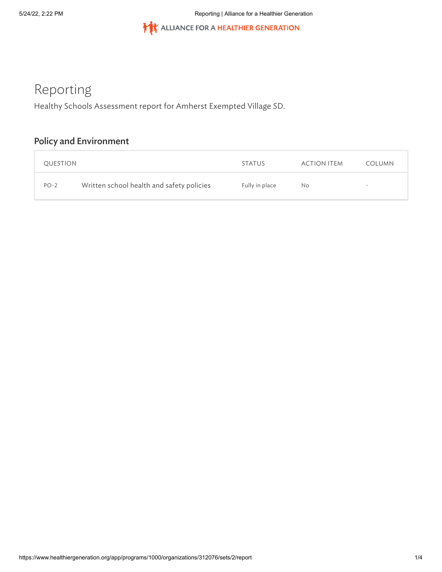THE ALLIANCE FOR A HEALTHIER GENERATION

# Reporting

Healthy Schools Assessment report for Amherst Exempted Village SD.

## **Policy and Environment**

| QUESTION |                                           | <b>STATUS</b>  | ACTION ITEM | <b>COLUMN</b>            |
|----------|-------------------------------------------|----------------|-------------|--------------------------|
| $PO-2$   | Written school health and safety policies | Fully in place | No.         | $\overline{\phantom{a}}$ |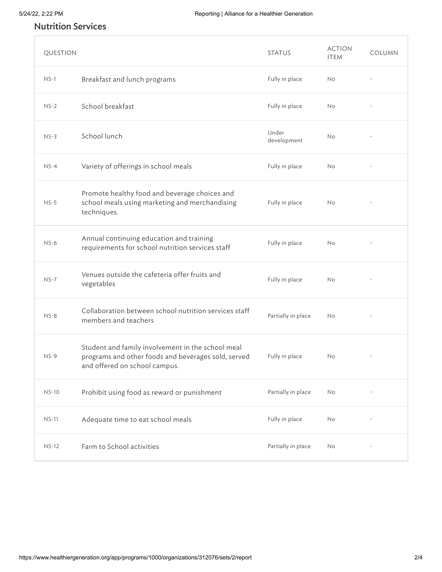## Nutrition Services

| QUESTION     |                                                                                                                                           | <b>STATUS</b>        | <b>ACTION</b><br><b>ITEM</b> | COLUMN |
|--------------|-------------------------------------------------------------------------------------------------------------------------------------------|----------------------|------------------------------|--------|
| $NS-1$       | Breakfast and lunch programs                                                                                                              | Fully in place       | <b>No</b>                    |        |
| $NS-2$       | School breakfast                                                                                                                          | Fully in place       | <b>No</b>                    |        |
| $NS-3$       | School lunch                                                                                                                              | Under<br>development | <b>No</b>                    |        |
| $NS-4$       | Variety of offerings in school meals                                                                                                      | Fully in place       | No                           |        |
| $NS-5$       | Promote healthy food and beverage choices and<br>school meals using marketing and merchandising<br>techniques.                            | Fully in place       | No                           |        |
| $NS-6$       | Annual continuing education and training<br>requirements for school nutrition services staff                                              | Fully in place       | No                           |        |
| $NS-7$       | Venues outside the cafeteria offer fruits and<br>vegetables                                                                               | Fully in place       | <b>No</b>                    |        |
| $NS-8$       | Collaboration between school nutrition services staff<br>members and teachers                                                             | Partially in place   | No                           |        |
| $NS-9$       | Student and family involvement in the school meal<br>programs and other foods and beverages sold, served<br>and offered on school campus. | Fully in place       | <b>No</b>                    |        |
| <b>NS-10</b> | Prohibit using food as reward or punishment                                                                                               | Partially in place   | No                           |        |
| $NS-11$      | Adequate time to eat school meals                                                                                                         | Fully in place       | No                           |        |
| $NS-12$      | Farm to School activities                                                                                                                 | Partially in place   | No                           |        |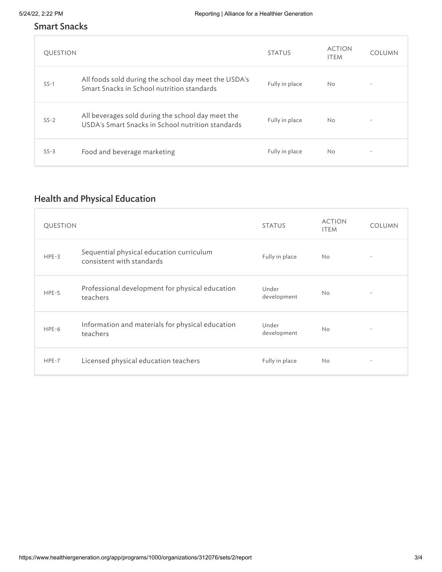### Smart Snacks

| QUESTION |                                                                                                        | <b>STATUS</b>  | <b>ACTION</b><br><b>ITEM</b> | <b>COLUMN</b>            |
|----------|--------------------------------------------------------------------------------------------------------|----------------|------------------------------|--------------------------|
| $SS-1$   | All foods sold during the school day meet the USDA's<br>Smart Snacks in School nutrition standards     | Fully in place | <b>No</b>                    |                          |
| $SS-2$   | All beverages sold during the school day meet the<br>USDA's Smart Snacks in School nutrition standards | Fully in place | <b>No</b>                    | $\overline{\phantom{a}}$ |
| $SS-3$   | Food and beverage marketing                                                                            | Fully in place | <b>No</b>                    | $\overline{\phantom{a}}$ |

## Health and Physical Education

| <b>QUESTION</b> |                                                                       | <b>STATUS</b>        | <b>ACTION</b><br><b>ITEM</b> | <b>COLUMN</b>            |
|-----------------|-----------------------------------------------------------------------|----------------------|------------------------------|--------------------------|
| $HPE-3$         | Sequential physical education curriculum<br>consistent with standards | Fully in place       | <b>No</b>                    |                          |
| $HPE-5$         | Professional development for physical education<br>teachers           | Under<br>development | <b>No</b>                    | $\overline{\phantom{a}}$ |
| $HPE-6$         | Information and materials for physical education<br>teachers          | Under<br>development | <b>No</b>                    | $\overline{\phantom{a}}$ |
| $HPE-7$         | Licensed physical education teachers                                  | Fully in place       | <b>No</b>                    | $\overline{\phantom{a}}$ |